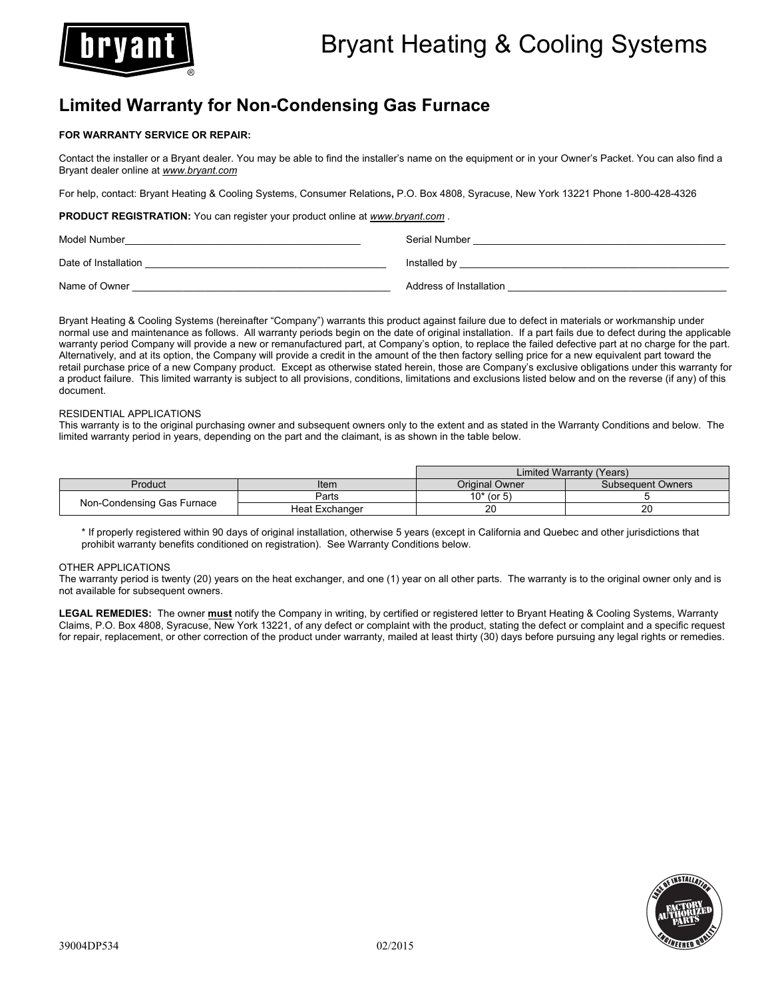

# **Limited Warranty for Non-Condensing Gas Furnace**

# **FOR WARRANTY SERVICE OR REPAIR:**

Contact the installer or a Bryant dealer. You may be able to find the installer's name on the equipment or in your Owner's Packet. You can also find a Bryant dealer online at *www.bryant.com*

For help, contact: Bryant Heating & Cooling Systems, Consumer Relations**,** P.O. Box 4808, Syracuse, New York 13221 Phone 1-800-428-4326

**PRODUCT REGISTRATION:** You can register your product online at *www.bryant.com* .

| Model Number         | Serial Number           |
|----------------------|-------------------------|
| Date of Installation | Installed by            |
| Name of Owner        | Address of Installation |

Bryant Heating & Cooling Systems (hereinafter "Company") warrants this product against failure due to defect in materials or workmanship under normal use and maintenance as follows. All warranty periods begin on the date of original installation. If a part fails due to defect during the applicable warranty period Company will provide a new or remanufactured part, at Company's option, to replace the failed defective part at no charge for the part. Alternatively, and at its option, the Company will provide a credit in the amount of the then factory selling price for a new equivalent part toward the retail purchase price of a new Company product. Except as otherwise stated herein, those are Company's exclusive obligations under this warranty for a product failure. This limited warranty is subject to all provisions, conditions, limitations and exclusions listed below and on the reverse (if any) of this document.

# RESIDENTIAL APPLICATIONS

This warranty is to the original purchasing owner and subsequent owners only to the extent and as stated in the Warranty Conditions and below. The limited warranty period in years, depending on the part and the claimant, is as shown in the table below.

|                            |                | Limited Warranty (Years) |                   |
|----------------------------|----------------|--------------------------|-------------------|
| Product                    | Item           | Original Owner           | Subsequent Owners |
| Non-Condensing Gas Furnace | Parts          | $10*$ (or 5)             |                   |
|                            | Heat Exchanger | 20                       | 20                |

\* If properly registered within 90 days of original installation, otherwise 5 years (except in California and Quebec and other jurisdictions that prohibit warranty benefits conditioned on registration). See Warranty Conditions below.

#### OTHER APPLICATIONS

The warranty period is twenty (20) years on the heat exchanger, and one (1) year on all other parts. The warranty is to the original owner only and is not available for subsequent owners.

**LEGAL REMEDIES:** The owner **must** notify the Company in writing, by certified or registered letter to Bryant Heating & Cooling Systems, Warranty Claims, P.O. Box 4808, Syracuse, New York 13221, of any defect or complaint with the product, stating the defect or complaint and a specific request for repair, replacement, or other correction of the product under warranty, mailed at least thirty (30) days before pursuing any legal rights or remedies.